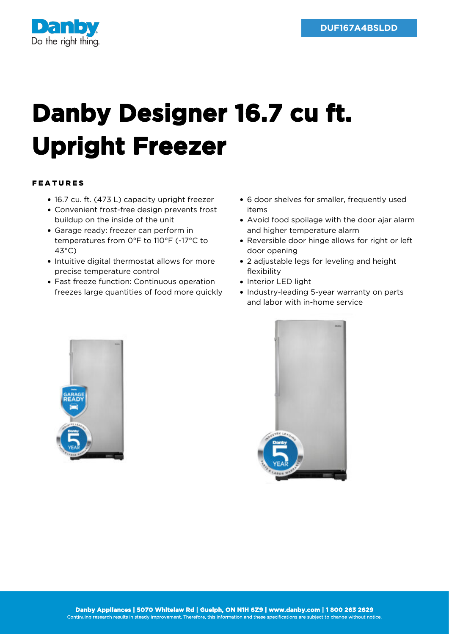

## **Danby Designer 16.7 cu ft. Upright Freezer**

## FEATURES

- 16.7 cu. ft. (473 L) capacity upright freezer
- Convenient frost-free design prevents frost buildup on the inside of the unit
- Garage ready: freezer can perform in temperatures from 0°F to 110°F (-17°C to 43°C)
- Intuitive digital thermostat allows for more precise temperature control
- Fast freeze function: Continuous operation freezes large quantities of food more quickly
- 6 door shelves for smaller, frequently used items
- Avoid food spoilage with the door ajar alarm and higher temperature alarm
- Reversible door hinge allows for right or left door opening
- 2 adjustable legs for leveling and height flexibility
- Interior LED light
- Industry-leading 5-year warranty on parts and labor with in-home service